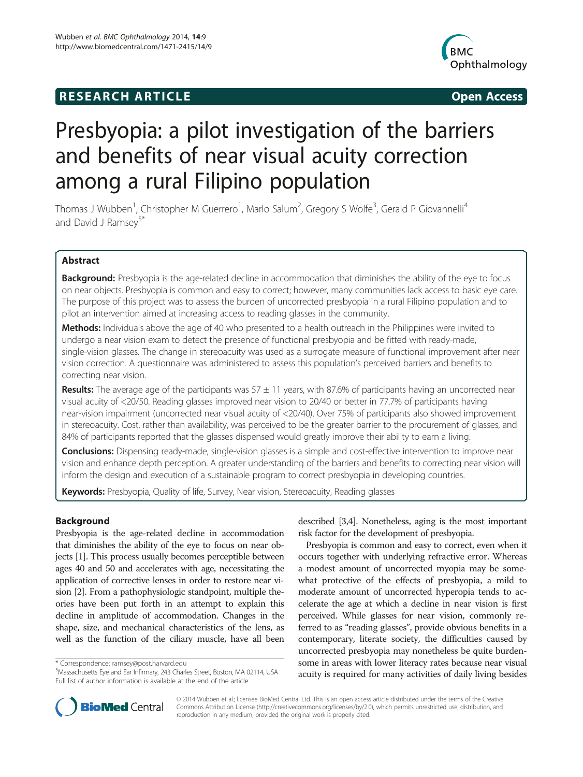## **RESEARCH ARTICLE Example 2014 CONSIDERING CONSIDERING CONSIDERING CONSIDERING CONSIDERING CONSIDERING CONSIDERING CONSIDERING CONSIDERING CONSIDERING CONSIDERING CONSIDERING CONSIDERING CONSIDERING CONSIDERING CONSIDE**



# Presbyopia: a pilot investigation of the barriers and benefits of near visual acuity correction among a rural Filipino population

Thomas J Wubben<sup>1</sup>, Christopher M Guerrero<sup>1</sup>, Marlo Salum<sup>2</sup>, Gregory S Wolfe<sup>3</sup>, Gerald P Giovannelli<sup>4</sup> and David J Ramsey $5^*$ 

## Abstract

Background: Presbyopia is the age-related decline in accommodation that diminishes the ability of the eye to focus on near objects. Presbyopia is common and easy to correct; however, many communities lack access to basic eye care. The purpose of this project was to assess the burden of uncorrected presbyopia in a rural Filipino population and to pilot an intervention aimed at increasing access to reading glasses in the community.

Methods: Individuals above the age of 40 who presented to a health outreach in the Philippines were invited to undergo a near vision exam to detect the presence of functional presbyopia and be fitted with ready-made, single-vision glasses. The change in stereoacuity was used as a surrogate measure of functional improvement after near vision correction. A questionnaire was administered to assess this population's perceived barriers and benefits to correcting near vision.

**Results:** The average age of the participants was  $57 \pm 11$  years, with 87.6% of participants having an uncorrected near visual acuity of <20/50. Reading glasses improved near vision to 20/40 or better in 77.7% of participants having near-vision impairment (uncorrected near visual acuity of <20/40). Over 75% of participants also showed improvement in stereoacuity. Cost, rather than availability, was perceived to be the greater barrier to the procurement of glasses, and 84% of participants reported that the glasses dispensed would greatly improve their ability to earn a living.

Conclusions: Dispensing ready-made, single-vision glasses is a simple and cost-effective intervention to improve near vision and enhance depth perception. A greater understanding of the barriers and benefits to correcting near vision will inform the design and execution of a sustainable program to correct presbyopia in developing countries.

Keywords: Presbyopia, Quality of life, Survey, Near vision, Stereoacuity, Reading glasses

## Background

Presbyopia is the age-related decline in accommodation that diminishes the ability of the eye to focus on near objects [\[1\]](#page-6-0). This process usually becomes perceptible between ages 40 and 50 and accelerates with age, necessitating the application of corrective lenses in order to restore near vision [[2\]](#page-6-0). From a pathophysiologic standpoint, multiple theories have been put forth in an attempt to explain this decline in amplitude of accommodation. Changes in the shape, size, and mechanical characteristics of the lens, as well as the function of the ciliary muscle, have all been

\* Correspondence: [ramsey@post.harvard.edu](mailto:ramsey@post.harvard.edu) <sup>5</sup>

described [\[3,4\]](#page-6-0). Nonetheless, aging is the most important risk factor for the development of presbyopia.

Presbyopia is common and easy to correct, even when it occurs together with underlying refractive error. Whereas a modest amount of uncorrected myopia may be somewhat protective of the effects of presbyopia, a mild to moderate amount of uncorrected hyperopia tends to accelerate the age at which a decline in near vision is first perceived. While glasses for near vision, commonly referred to as "reading glasses", provide obvious benefits in a contemporary, literate society, the difficulties caused by uncorrected presbyopia may nonetheless be quite burdensome in areas with lower literacy rates because near visual acuity is required for many activities of daily living besides



© 2014 Wubben et al.; licensee BioMed Central Ltd. This is an open access article distributed under the terms of the Creative Commons Attribution License [\(http://creativecommons.org/licenses/by/2.0\)](http://creativecommons.org/licenses/by/2.0), which permits unrestricted use, distribution, and reproduction in any medium, provided the original work is properly cited.

Massachusetts Eye and Ear Infirmary, 243 Charles Street, Boston, MA 02114, USA Full list of author information is available at the end of the article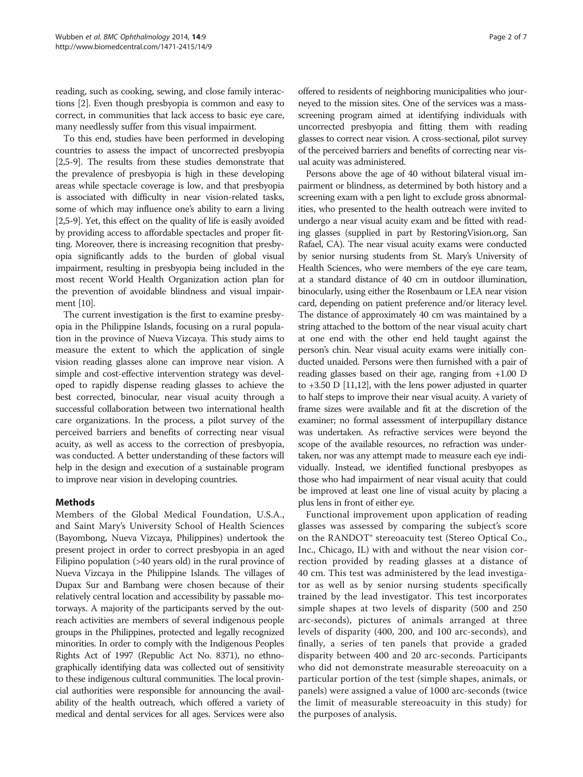<span id="page-1-0"></span>reading, such as cooking, sewing, and close family interactions [[2](#page-6-0)]. Even though presbyopia is common and easy to correct, in communities that lack access to basic eye care, many needlessly suffer from this visual impairment.

To this end, studies have been performed in developing countries to assess the impact of uncorrected presbyopia [[2,5](#page-6-0)-[9](#page-6-0)]. The results from these studies demonstrate that the prevalence of presbyopia is high in these developing areas while spectacle coverage is low, and that presbyopia is associated with difficulty in near vision-related tasks, some of which may influence one's ability to earn a living [[2,5](#page-6-0)-[9](#page-6-0)]. Yet, this effect on the quality of life is easily avoided by providing access to affordable spectacles and proper fitting. Moreover, there is increasing recognition that presbyopia significantly adds to the burden of global visual impairment, resulting in presbyopia being included in the most recent World Health Organization action plan for the prevention of avoidable blindness and visual impairment [\[10](#page-6-0)].

The current investigation is the first to examine presbyopia in the Philippine Islands, focusing on a rural population in the province of Nueva Vizcaya. This study aims to measure the extent to which the application of single vision reading glasses alone can improve near vision. A simple and cost-effective intervention strategy was developed to rapidly dispense reading glasses to achieve the best corrected, binocular, near visual acuity through a successful collaboration between two international health care organizations. In the process, a pilot survey of the perceived barriers and benefits of correcting near visual acuity, as well as access to the correction of presbyopia, was conducted. A better understanding of these factors will help in the design and execution of a sustainable program to improve near vision in developing countries.

## Methods

Members of the Global Medical Foundation, U.S.A., and Saint Mary's University School of Health Sciences (Bayombong, Nueva Vizcaya, Philippines) undertook the present project in order to correct presbyopia in an aged Filipino population (>40 years old) in the rural province of Nueva Vizcaya in the Philippine Islands. The villages of Dupax Sur and Bambang were chosen because of their relatively central location and accessibility by passable motorways. A majority of the participants served by the outreach activities are members of several indigenous people groups in the Philippines, protected and legally recognized minorities. In order to comply with the Indigenous Peoples Rights Act of 1997 (Republic Act No. 8371), no ethnographically identifying data was collected out of sensitivity to these indigenous cultural communities. The local provincial authorities were responsible for announcing the availability of the health outreach, which offered a variety of medical and dental services for all ages. Services were also offered to residents of neighboring municipalities who journeyed to the mission sites. One of the services was a massscreening program aimed at identifying individuals with uncorrected presbyopia and fitting them with reading glasses to correct near vision. A cross-sectional, pilot survey of the perceived barriers and benefits of correcting near visual acuity was administered.

Persons above the age of 40 without bilateral visual impairment or blindness, as determined by both history and a screening exam with a pen light to exclude gross abnormalities, who presented to the health outreach were invited to undergo a near visual acuity exam and be fitted with reading glasses (supplied in part by RestoringVision.org, San Rafael, CA). The near visual acuity exams were conducted by senior nursing students from St. Mary's University of Health Sciences, who were members of the eye care team, at a standard distance of 40 cm in outdoor illumination, binocularly, using either the Rosenbaum or LEA near vision card, depending on patient preference and/or literacy level. The distance of approximately 40 cm was maintained by a string attached to the bottom of the near visual acuity chart at one end with the other end held taught against the person's chin. Near visual acuity exams were initially conducted unaided. Persons were then furnished with a pair of reading glasses based on their age, ranging from +1.00 D to +3.50 D [\[11,12](#page-6-0)], with the lens power adjusted in quarter to half steps to improve their near visual acuity. A variety of frame sizes were available and fit at the discretion of the examiner; no formal assessment of interpupillary distance was undertaken. As refractive services were beyond the scope of the available resources, no refraction was undertaken, nor was any attempt made to measure each eye individually. Instead, we identified functional presbyopes as those who had impairment of near visual acuity that could be improved at least one line of visual acuity by placing a plus lens in front of either eye.

Functional improvement upon application of reading glasses was assessed by comparing the subject's score on the RANDOT® stereoacuity test (Stereo Optical Co., Inc., Chicago, IL) with and without the near vision correction provided by reading glasses at a distance of 40 cm. This test was administered by the lead investigator as well as by senior nursing students specifically trained by the lead investigator. This test incorporates simple shapes at two levels of disparity (500 and 250 arc-seconds), pictures of animals arranged at three levels of disparity (400, 200, and 100 arc-seconds), and finally, a series of ten panels that provide a graded disparity between 400 and 20 arc-seconds. Participants who did not demonstrate measurable stereoacuity on a particular portion of the test (simple shapes, animals, or panels) were assigned a value of 1000 arc-seconds (twice the limit of measurable stereoacuity in this study) for the purposes of analysis.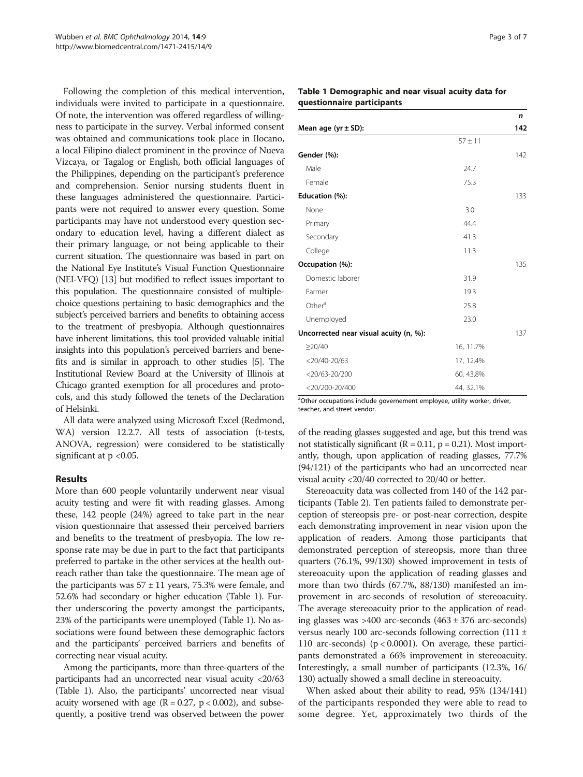Following the completion of this medical intervention, individuals were invited to participate in a questionnaire. Of note, the intervention was offered regardless of willingness to participate in the survey. Verbal informed consent was obtained and communications took place in Ilocano, a local Filipino dialect prominent in the province of Nueva Vizcaya, or Tagalog or English, both official languages of the Philippines, depending on the participant's preference and comprehension. Senior nursing students fluent in these languages administered the questionnaire. Participants were not required to answer every question. Some participants may have not understood every question secondary to education level, having a different dialect as their primary language, or not being applicable to their current situation. The questionnaire was based in part on the National Eye Institute's Visual Function Questionnaire (NEI-VFQ) [[13](#page-6-0)] but modified to reflect issues important to this population. The questionnaire consisted of multiplechoice questions pertaining to basic demographics and the subject's perceived barriers and benefits to obtaining access to the treatment of presbyopia. Although questionnaires have inherent limitations, this tool provided valuable initial insights into this population's perceived barriers and benefits and is similar in approach to other studies [\[5](#page-6-0)]. The Institutional Review Board at the University of Illinois at Chicago granted exemption for all procedures and protocols, and this study followed the tenets of the Declaration of Helsinki.

All data were analyzed using Microsoft Excel (Redmond, WA) version 12.2.7. All tests of association (t-tests, ANOVA, regression) were considered to be statistically significant at p <0.05.

## Results

More than 600 people voluntarily underwent near visual acuity testing and were fit with reading glasses. Among these, 142 people (24%) agreed to take part in the near vision questionnaire that assessed their perceived barriers and benefits to the treatment of presbyopia. The low response rate may be due in part to the fact that participants preferred to partake in the other services at the health outreach rather than take the questionnaire. The mean age of the participants was  $57 \pm 11$  years, 75.3% were female, and 52.6% had secondary or higher education (Table 1). Further underscoring the poverty amongst the participants, 23% of the participants were unemployed (Table 1). No associations were found between these demographic factors and the participants' perceived barriers and benefits of correcting near visual acuity.

Among the participants, more than three-quarters of the participants had an uncorrected near visual acuity <20/63 (Table 1). Also, the participants' uncorrected near visual acuity worsened with age ( $R = 0.27$ ,  $p < 0.002$ ), and subsequently, a positive trend was observed between the power

| rage |  | ΩT |  |
|------|--|----|--|
|------|--|----|--|

## Table 1 Demographic and near visual acuity data for questionnaire participants

|                                        |             | n   |
|----------------------------------------|-------------|-----|
| Mean age ( $yr \pm SD$ ):              |             | 142 |
|                                        | $57 \pm 11$ |     |
| Gender (%):                            |             | 142 |
| Male                                   | 24.7        |     |
| Female                                 | 75.3        |     |
| Education (%):                         |             | 133 |
| None                                   | 3.0         |     |
| Primary                                | 44.4        |     |
| Secondary                              | 41.3        |     |
| College                                | 11.3        |     |
| Occupation (%):                        |             | 135 |
| Domestic laborer                       | 31.9        |     |
| Farmer                                 | 19.3        |     |
| Other <sup>a</sup>                     | 25.8        |     |
| Unemployed                             | 23.0        |     |
| Uncorrected near visual acuity (n, %): |             | 137 |
| $\geq$ 20/40                           | 16, 11.7%   |     |
| $<$ 20/40-20/63                        | 17, 12.4%   |     |
| $<$ 20/63-20/200                       | 60, 43.8%   |     |
| $<$ 20/200-20/400                      | 44, 32.1%   |     |

<sup>a</sup>Other occupations include governement employee, utility worker, driver, teacher, and street vendor.

of the reading glasses suggested and age, but this trend was not statistically significant ( $R = 0.11$ ,  $p = 0.21$ ). Most importantly, though, upon application of reading glasses, 77.7% (94/121) of the participants who had an uncorrected near visual acuity <20/40 corrected to 20/40 or better.

Stereoacuity data was collected from 140 of the 142 participants (Table [2\)](#page-3-0). Ten patients failed to demonstrate perception of stereopsis pre- or post-near correction, despite each demonstrating improvement in near vision upon the application of readers. Among those participants that demonstrated perception of stereopsis, more than three quarters (76.1%, 99/130) showed improvement in tests of stereoacuity upon the application of reading glasses and more than two thirds (67.7%, 88/130) manifested an improvement in arc-seconds of resolution of stereoacuity. The average stereoacuity prior to the application of reading glasses was  $>400$  arc-seconds  $(463 \pm 376$  arc-seconds) versus nearly 100 arc-seconds following correction (111 ± 110 arc-seconds) ( $p < 0.0001$ ). On average, these participants demonstrated a 66% improvement in stereoacuity. Interestingly, a small number of participants (12.3%, 16/ 130) actually showed a small decline in stereoacuity.

When asked about their ability to read, 95% (134/141) of the participants responded they were able to read to some degree. Yet, approximately two thirds of the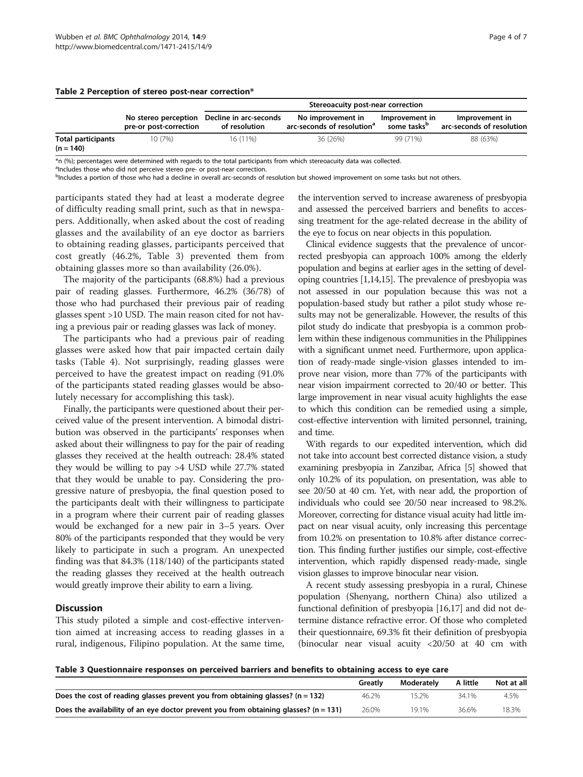<span id="page-3-0"></span>

| Table 2 Perception of stereo post-near correction* |  |  |
|----------------------------------------------------|--|--|
|----------------------------------------------------|--|--|

|                                          |                        | Stereoacuity post-near correction                            |                                                             |                                           |                                             |
|------------------------------------------|------------------------|--------------------------------------------------------------|-------------------------------------------------------------|-------------------------------------------|---------------------------------------------|
|                                          | pre-or post-correction | No stereo perception Decline in arc-seconds<br>of resolution | No improvement in<br>arc-seconds of resolution <sup>a</sup> | Improvement in<br>some tasks <sup>b</sup> | Improvement in<br>arc-seconds of resolution |
| <b>Total participants</b><br>$(n = 140)$ | 10(7%)                 | 16 (11%)                                                     | 36 (26%)                                                    | 99 (71%)                                  | 88 (63%)                                    |

\*n (%); percentages were determined with regards to the total participants from which stereoacuity data was collected.

<sup>a</sup>Includes those who did not perceive stereo pre- or post-near correction.

b<sub>includes a portion of those who had a decline in overall arc-seconds of resolution but showed improvement on some tasks but not others.</sub>

participants stated they had at least a moderate degree of difficulty reading small print, such as that in newspapers. Additionally, when asked about the cost of reading glasses and the availability of an eye doctor as barriers to obtaining reading glasses, participants perceived that cost greatly (46.2%, Table 3) prevented them from obtaining glasses more so than availability (26.0%).

The majority of the participants (68.8%) had a previous pair of reading glasses. Furthermore, 46.2% (36/78) of those who had purchased their previous pair of reading glasses spent >10 USD. The main reason cited for not having a previous pair or reading glasses was lack of money.

The participants who had a previous pair of reading glasses were asked how that pair impacted certain daily tasks (Table [4](#page-4-0)). Not surprisingly, reading glasses were perceived to have the greatest impact on reading (91.0% of the participants stated reading glasses would be absolutely necessary for accomplishing this task).

Finally, the participants were questioned about their perceived value of the present intervention. A bimodal distribution was observed in the participants' responses when asked about their willingness to pay for the pair of reading glasses they received at the health outreach: 28.4% stated they would be willing to pay >4 USD while 27.7% stated that they would be unable to pay. Considering the progressive nature of presbyopia, the final question posed to the participants dealt with their willingness to participate in a program where their current pair of reading glasses would be exchanged for a new pair in 3–5 years. Over 80% of the participants responded that they would be very likely to participate in such a program. An unexpected finding was that 84.3% (118/140) of the participants stated the reading glasses they received at the health outreach would greatly improve their ability to earn a living.

## **Discussion**

This study piloted a simple and cost-effective intervention aimed at increasing access to reading glasses in a rural, indigenous, Filipino population. At the same time,

the intervention served to increase awareness of presbyopia and assessed the perceived barriers and benefits to accessing treatment for the age-related decrease in the ability of the eye to focus on near objects in this population.

Clinical evidence suggests that the prevalence of uncorrected presbyopia can approach 100% among the elderly population and begins at earlier ages in the setting of developing countries [\[1,14,15\]](#page-6-0). The prevalence of presbyopia was not assessed in our population because this was not a population-based study but rather a pilot study whose results may not be generalizable. However, the results of this pilot study do indicate that presbyopia is a common problem within these indigenous communities in the Philippines with a significant unmet need. Furthermore, upon application of ready-made single-vision glasses intended to improve near vision, more than 77% of the participants with near vision impairment corrected to 20/40 or better. This large improvement in near visual acuity highlights the ease to which this condition can be remedied using a simple, cost-effective intervention with limited personnel, training, and time.

With regards to our expedited intervention, which did not take into account best corrected distance vision, a study examining presbyopia in Zanzibar, Africa [[5\]](#page-6-0) showed that only 10.2% of its population, on presentation, was able to see 20/50 at 40 cm. Yet, with near add, the proportion of individuals who could see 20/50 near increased to 98.2%. Moreover, correcting for distance visual acuity had little impact on near visual acuity, only increasing this percentage from 10.2% on presentation to 10.8% after distance correction. This finding further justifies our simple, cost-effective intervention, which rapidly dispensed ready-made, single vision glasses to improve binocular near vision.

A recent study assessing presbyopia in a rural, Chinese population (Shenyang, northern China) also utilized a functional definition of presbyopia [[16,17\]](#page-6-0) and did not determine distance refractive error. Of those who completed their questionnaire, 69.3% fit their definition of presbyopia (binocular near visual acuity <20/50 at 40 cm with

| Table 3 Questionnaire responses on perceived barriers and benefits to obtaining access to eye care |  |  |
|----------------------------------------------------------------------------------------------------|--|--|
|----------------------------------------------------------------------------------------------------|--|--|

|                                                                                          | Greatly | Moderately | A little | Not at all |
|------------------------------------------------------------------------------------------|---------|------------|----------|------------|
| Does the cost of reading glasses prevent you from obtaining glasses? $(n = 132)$         | 46.2%   | 5.2%       | 34.1%    | 4.5%       |
| Does the availability of an eye doctor prevent you from obtaining glasses? ( $n = 131$ ) | 26.0%   | 19.1%      | 36.6%    | 18.3%      |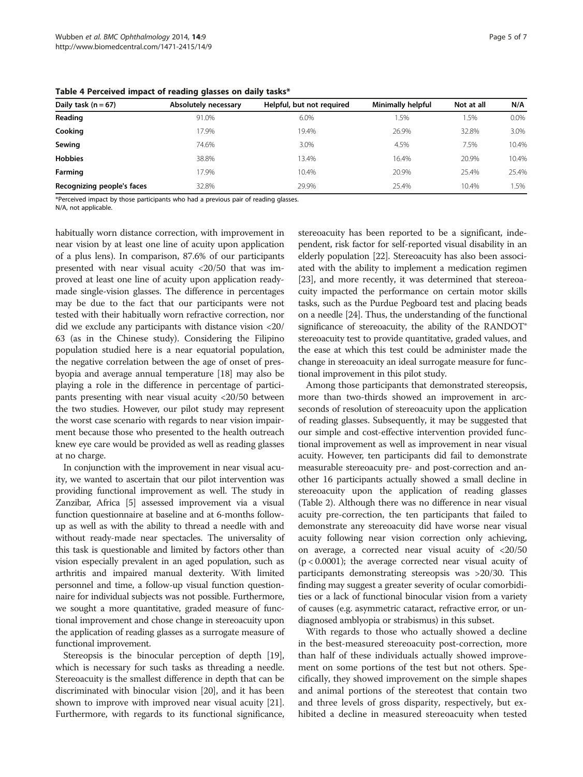| Daily task ( $n = 67$ )    | Absolutely necessary | Helpful, but not required | Minimally helpful | Not at all | N/A   |
|----------------------------|----------------------|---------------------------|-------------------|------------|-------|
| Reading                    | 91.0%                | 6.0%                      | .5%               | 1.5%       | 0.0%  |
| Cooking                    | 17.9%                | 19.4%                     | 26.9%             | 32.8%      | 3.0%  |
| Sewing                     | 74.6%                | 3.0%                      | 4.5%              | 7.5%       | 10.4% |
| <b>Hobbies</b>             | 38.8%                | 13.4%                     | 16.4%             | 20.9%      | 10.4% |
| Farming                    | 17.9%                | 10.4%                     | 20.9%             | 25.4%      | 25.4% |
| Recognizing people's faces | 32.8%                | 29.9%                     | 25.4%             | 10.4%      | .5%   |

<span id="page-4-0"></span>Table 4 Perceived impact of reading glasses on daily tasks\*

\*Perceived impact by those participants who had a previous pair of reading glasses.

N/A, not applicable.

habitually worn distance correction, with improvement in near vision by at least one line of acuity upon application of a plus lens). In comparison, 87.6% of our participants presented with near visual acuity <20/50 that was improved at least one line of acuity upon application readymade single-vision glasses. The difference in percentages may be due to the fact that our participants were not tested with their habitually worn refractive correction, nor did we exclude any participants with distance vision <20/ 63 (as in the Chinese study). Considering the Filipino population studied here is a near equatorial population, the negative correlation between the age of onset of presbyopia and average annual temperature [\[18\]](#page-6-0) may also be playing a role in the difference in percentage of participants presenting with near visual acuity <20/50 between the two studies. However, our pilot study may represent the worst case scenario with regards to near vision impairment because those who presented to the health outreach knew eye care would be provided as well as reading glasses at no charge.

In conjunction with the improvement in near visual acuity, we wanted to ascertain that our pilot intervention was providing functional improvement as well. The study in Zanzibar, Africa [\[5](#page-6-0)] assessed improvement via a visual function questionnaire at baseline and at 6-months followup as well as with the ability to thread a needle with and without ready-made near spectacles. The universality of this task is questionable and limited by factors other than vision especially prevalent in an aged population, such as arthritis and impaired manual dexterity. With limited personnel and time, a follow-up visual function questionnaire for individual subjects was not possible. Furthermore, we sought a more quantitative, graded measure of functional improvement and chose change in stereoacuity upon the application of reading glasses as a surrogate measure of functional improvement.

Stereopsis is the binocular perception of depth [[19](#page-6-0)], which is necessary for such tasks as threading a needle. Stereoacuity is the smallest difference in depth that can be discriminated with binocular vision [\[20\]](#page-6-0), and it has been shown to improve with improved near visual acuity [[21](#page-6-0)]. Furthermore, with regards to its functional significance, stereoacuity has been reported to be a significant, independent, risk factor for self-reported visual disability in an elderly population [\[22\]](#page-6-0). Stereoacuity has also been associated with the ability to implement a medication regimen [[23](#page-6-0)], and more recently, it was determined that stereoacuity impacted the performance on certain motor skills tasks, such as the Purdue Pegboard test and placing beads on a needle [\[24](#page-6-0)]. Thus, the understanding of the functional significance of stereoacuity, the ability of the RANDOT® stereoacuity test to provide quantitative, graded values, and the ease at which this test could be administer made the change in stereoacuity an ideal surrogate measure for functional improvement in this pilot study.

Among those participants that demonstrated stereopsis, more than two-thirds showed an improvement in arcseconds of resolution of stereoacuity upon the application of reading glasses. Subsequently, it may be suggested that our simple and cost-effective intervention provided functional improvement as well as improvement in near visual acuity. However, ten participants did fail to demonstrate measurable stereoacuity pre- and post-correction and another 16 participants actually showed a small decline in stereoacuity upon the application of reading glasses (Table [2](#page-3-0)). Although there was no difference in near visual acuity pre-correction, the ten participants that failed to demonstrate any stereoacuity did have worse near visual acuity following near vision correction only achieving, on average, a corrected near visual acuity of <20/50 (p < 0.0001); the average corrected near visual acuity of participants demonstrating stereopsis was >20/30. This finding may suggest a greater severity of ocular comorbidities or a lack of functional binocular vision from a variety of causes (e.g. asymmetric cataract, refractive error, or undiagnosed amblyopia or strabismus) in this subset.

With regards to those who actually showed a decline in the best-measured stereoacuity post-correction, more than half of these individuals actually showed improvement on some portions of the test but not others. Specifically, they showed improvement on the simple shapes and animal portions of the stereotest that contain two and three levels of gross disparity, respectively, but exhibited a decline in measured stereoacuity when tested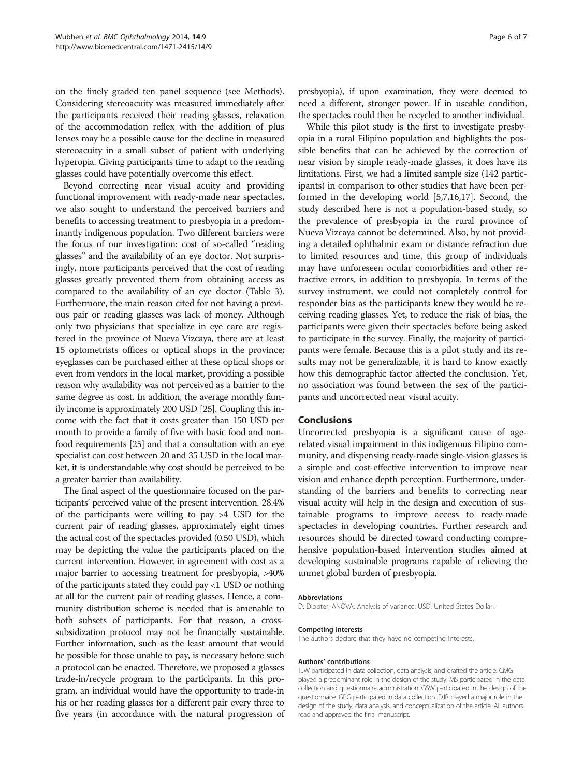on the finely graded ten panel sequence (see [Methods](#page-1-0)). Considering stereoacuity was measured immediately after the participants received their reading glasses, relaxation of the accommodation reflex with the addition of plus lenses may be a possible cause for the decline in measured stereoacuity in a small subset of patient with underlying hyperopia. Giving participants time to adapt to the reading glasses could have potentially overcome this effect.

Beyond correcting near visual acuity and providing functional improvement with ready-made near spectacles, we also sought to understand the perceived barriers and benefits to accessing treatment to presbyopia in a predominantly indigenous population. Two different barriers were the focus of our investigation: cost of so-called "reading glasses" and the availability of an eye doctor. Not surprisingly, more participants perceived that the cost of reading glasses greatly prevented them from obtaining access as compared to the availability of an eye doctor (Table [3](#page-3-0)). Furthermore, the main reason cited for not having a previous pair or reading glasses was lack of money. Although only two physicians that specialize in eye care are registered in the province of Nueva Vizcaya, there are at least 15 optometrists offices or optical shops in the province; eyeglasses can be purchased either at these optical shops or even from vendors in the local market, providing a possible reason why availability was not perceived as a barrier to the same degree as cost. In addition, the average monthly family income is approximately 200 USD [\[25\]](#page-6-0). Coupling this income with the fact that it costs greater than 150 USD per month to provide a family of five with basic food and nonfood requirements [\[25\]](#page-6-0) and that a consultation with an eye specialist can cost between 20 and 35 USD in the local market, it is understandable why cost should be perceived to be a greater barrier than availability.

The final aspect of the questionnaire focused on the participants' perceived value of the present intervention. 28.4% of the participants were willing to pay >4 USD for the current pair of reading glasses, approximately eight times the actual cost of the spectacles provided (0.50 USD), which may be depicting the value the participants placed on the current intervention. However, in agreement with cost as a major barrier to accessing treatment for presbyopia, >40% of the participants stated they could pay <1 USD or nothing at all for the current pair of reading glasses. Hence, a community distribution scheme is needed that is amenable to both subsets of participants. For that reason, a crosssubsidization protocol may not be financially sustainable. Further information, such as the least amount that would be possible for those unable to pay, is necessary before such a protocol can be enacted. Therefore, we proposed a glasses trade-in/recycle program to the participants. In this program, an individual would have the opportunity to trade-in his or her reading glasses for a different pair every three to five years (in accordance with the natural progression of presbyopia), if upon examination, they were deemed to need a different, stronger power. If in useable condition, the spectacles could then be recycled to another individual.

While this pilot study is the first to investigate presbyopia in a rural Filipino population and highlights the possible benefits that can be achieved by the correction of near vision by simple ready-made glasses, it does have its limitations. First, we had a limited sample size (142 participants) in comparison to other studies that have been performed in the developing world [[5](#page-6-0),[7,16,17\]](#page-6-0). Second, the study described here is not a population-based study, so the prevalence of presbyopia in the rural province of Nueva Vizcaya cannot be determined. Also, by not providing a detailed ophthalmic exam or distance refraction due to limited resources and time, this group of individuals may have unforeseen ocular comorbidities and other refractive errors, in addition to presbyopia. In terms of the survey instrument, we could not completely control for responder bias as the participants knew they would be receiving reading glasses. Yet, to reduce the risk of bias, the participants were given their spectacles before being asked to participate in the survey. Finally, the majority of participants were female. Because this is a pilot study and its results may not be generalizable, it is hard to know exactly how this demographic factor affected the conclusion. Yet, no association was found between the sex of the participants and uncorrected near visual acuity.

## Conclusions

Uncorrected presbyopia is a significant cause of agerelated visual impairment in this indigenous Filipino community, and dispensing ready-made single-vision glasses is a simple and cost-effective intervention to improve near vision and enhance depth perception. Furthermore, understanding of the barriers and benefits to correcting near visual acuity will help in the design and execution of sustainable programs to improve access to ready-made spectacles in developing countries. Further research and resources should be directed toward conducting comprehensive population-based intervention studies aimed at developing sustainable programs capable of relieving the unmet global burden of presbyopia.

#### Abbreviations

D: Diopter; ANOVA: Analysis of variance; USD: United States Dollar.

#### Competing interests

The authors declare that they have no competing interests.

#### Authors' contributions

TJW participated in data collection, data analysis, and drafted the article. CMG played a predominant role in the design of the study. MS participated in the data collection and questionnaire administration. GSW participated in the design of the questionnaire. GPG participated in data collection. DJR played a major role in the design of the study, data analysis, and conceptualization of the article. All authors read and approved the final manuscript.